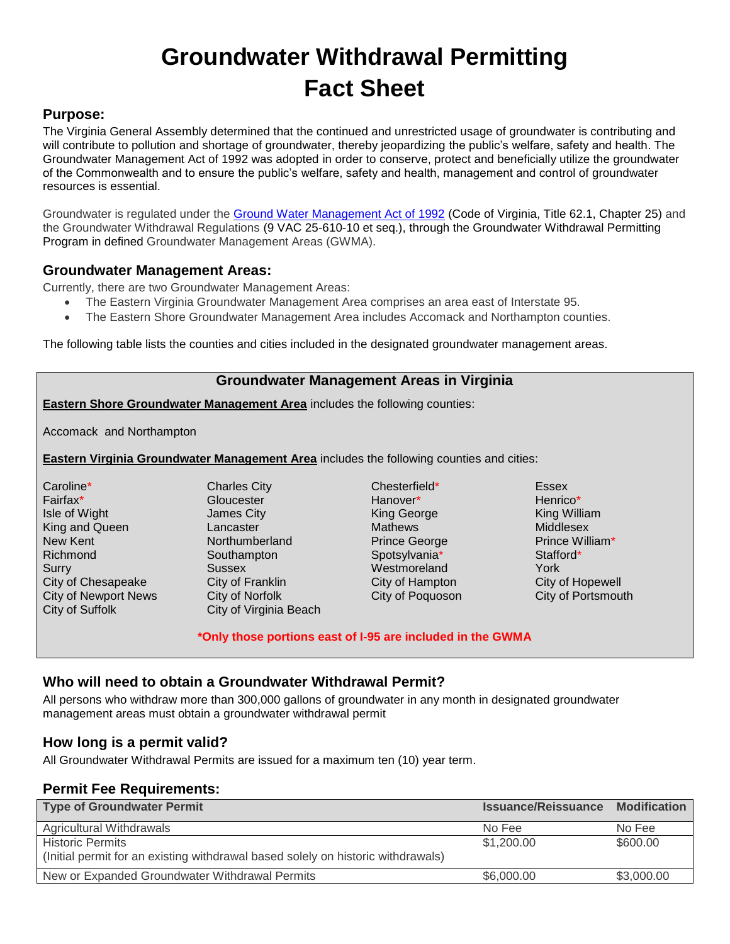# **Groundwater Withdrawal Permitting Fact Sheet**

## **Purpose:**

The Virginia General Assembly determined that the continued and unrestricted usage of groundwater is contributing and will contribute to pollution and shortage of groundwater, thereby jeopardizing the public's welfare, safety and health. The Groundwater Management Act of 1992 was adopted in order to conserve, protect and beneficially utilize the groundwater of the Commonwealth and to ensure the public's welfare, safety and health, management and control of groundwater resources is essential.

Groundwater is regulated under the [Ground Water Management Act of 1992](http://lis.virginia.gov/cgi-bin/legp604.exe?000+cod+TOC62010000025000000000000) (Code of Virginia, Title 62.1, Chapter 25) and the Groundwater Withdrawal Regulations (9 VAC 25-610-10 et seq.), through the Groundwater Withdrawal Permitting Program in defined Groundwater Management Areas (GWMA).

### **Groundwater Management Areas:**

Currently, there are two Groundwater Management Areas:

- The Eastern Virginia Groundwater Management Area comprises an area east of Interstate 95.
- The Eastern Shore Groundwater Management Area includes Accomack and Northampton counties.

The following table lists the counties and cities included in the designated groundwater management areas.

#### **Groundwater Management Areas in Virginia**

**Eastern Shore Groundwater Management Area** includes the following counties:

Accomack and Northampton

**Eastern Virginia Groundwater Management Area** includes the following counties and cities:

Caroline\* Charles City Chesterfield\* Essex Fairfax\* Gloucester Hanover\* Henrico\* Isle of Wight **Internal City** James City **King King George** King William King and Queen **Lancaster Lancaster** Mathews Mathews Middlesex New Kent Northumberland Prince George Prince William\* Richmond Southampton Spotsylvania\* Stafford\* Stafford\* Surry Sussex Westmoreland York City of Chesapeake City of Franklin City of Hampton City of Hopewell City of Newport News City of Norfolk City of Poquoson City of Portsmouth City of Suffolk City of Virginia Beach

**\*Only those portions east of I-95 are included in the GWMA**

#### **Who will need to obtain a Groundwater Withdrawal Permit?**

All persons who withdraw more than 300,000 gallons of groundwater in any month in designated groundwater management areas must obtain a groundwater withdrawal permit

#### **How long is a permit valid?**

All Groundwater Withdrawal Permits are issued for a maximum ten (10) year term.

#### **Permit Fee Requirements:**

| <b>Type of Groundwater Permit</b>                                                                           | <b>Issuance/Reissuance</b> | <b>Modification</b> |
|-------------------------------------------------------------------------------------------------------------|----------------------------|---------------------|
| Agricultural Withdrawals                                                                                    | No Fee                     | No Fee              |
| <b>Historic Permits</b><br>(Initial permit for an existing withdrawal based solely on historic withdrawals) | \$1,200.00                 | \$600.00            |
| New or Expanded Groundwater Withdrawal Permits                                                              | \$6,000,00                 | \$3,000.00          |